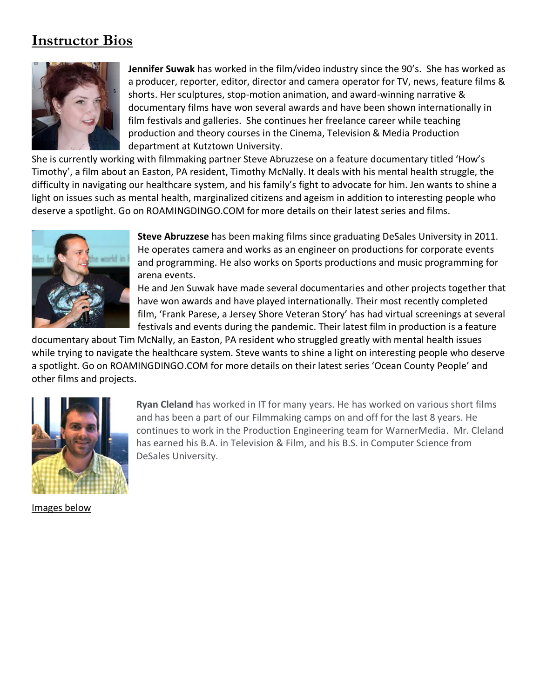## **Instructor Bios**



**Jennifer Suwak** has worked in the film/video industry since the 90's. She has worked as a producer, reporter, editor, director and camera operator for TV, news, feature films & shorts. Her sculptures, stop-motion animation, and award-winning narrative & documentary films have won several awards and have been shown internationally in film festivals and galleries. She continues her freelance career while teaching production and theory courses in the Cinema, Television & Media Production department at Kutztown University.

She is currently working with filmmaking partner Steve Abruzzese on a feature documentary titled 'How's Timothy', a film about an Easton, PA resident, Timothy McNally. It deals with his mental health struggle, the difficulty in navigating our healthcare system, and his family's fight to advocate for him. Jen wants to shine a light on issues such as mental health, marginalized citizens and ageism in addition to interesting people who deserve a spotlight. Go on ROAMINGDINGO.COM for more details on their latest series and films.



**Steve Abruzzese** has been making films since graduating DeSales University in 2011. He operates camera and works as an engineer on productions for corporate events and programming. He also works on Sports productions and music programming for arena events.

He and Jen Suwak have made several documentaries and other projects together that have won awards and have played internationally. Their most recently completed film, 'Frank Parese, a Jersey Shore Veteran Story' has had virtual screenings at several festivals and events during the pandemic. Their latest film in production is a feature

documentary about Tim McNally, an Easton, PA resident who struggled greatly with mental health issues while trying to navigate the healthcare system. Steve wants to shine a light on interesting people who deserve a spotlight. Go on ROAMINGDINGO.COM for more details on their latest series 'Ocean County People' and other films and projects.



**Ryan Cleland** has worked in IT for many years. He has worked on various short films and has been a part of our Filmmaking camps on and off for the last 8 years. He continues to work in the Production Engineering team for WarnerMedia. Mr. Cleland has earned his B.A. in Television & Film, and his B.S. in Computer Science from DeSales University.

Images below